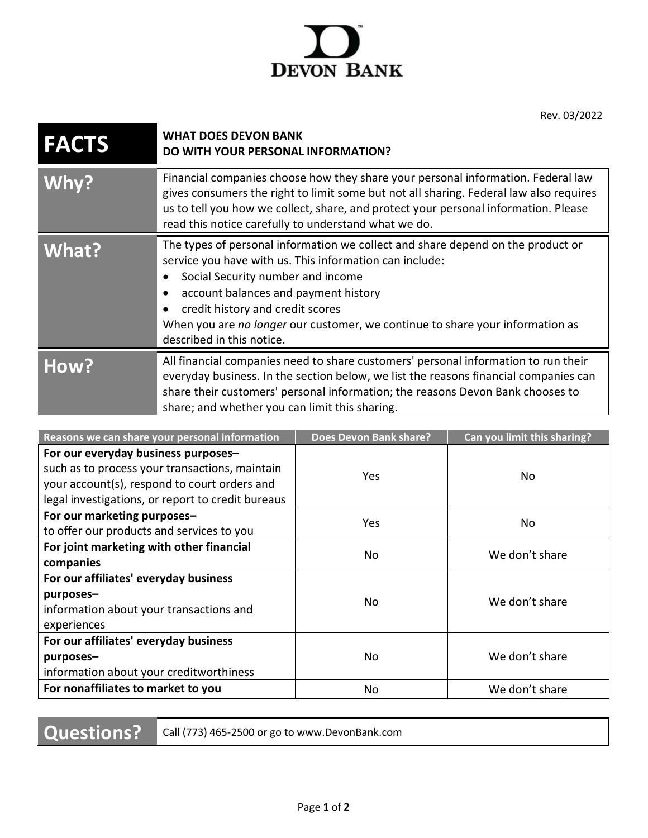

Rev. 03/2022

| <b>FACTS</b> | <b>WHAT DOES DEVON BANK</b><br><b>DO WITH YOUR PERSONAL INFORMATION?</b>                                                                                                                                                                                                                                                                                                               |
|--------------|----------------------------------------------------------------------------------------------------------------------------------------------------------------------------------------------------------------------------------------------------------------------------------------------------------------------------------------------------------------------------------------|
| Why?         | Financial companies choose how they share your personal information. Federal law<br>gives consumers the right to limit some but not all sharing. Federal law also requires<br>us to tell you how we collect, share, and protect your personal information. Please<br>read this notice carefully to understand what we do.                                                              |
| What?        | The types of personal information we collect and share depend on the product or<br>service you have with us. This information can include:<br>Social Security number and income<br>account balances and payment history<br>$\bullet$<br>credit history and credit scores<br>When you are no longer our customer, we continue to share your information as<br>described in this notice. |
| How?         | All financial companies need to share customers' personal information to run their<br>everyday business. In the section below, we list the reasons financial companies can<br>share their customers' personal information; the reasons Devon Bank chooses to<br>share; and whether you can limit this sharing.                                                                         |

| Reasons we can share your personal information    | <b>Does Devon Bank share?</b> | Can you limit this sharing? |
|---------------------------------------------------|-------------------------------|-----------------------------|
| For our everyday business purposes-               |                               |                             |
| such as to process your transactions, maintain    | Yes                           | No                          |
| your account(s), respond to court orders and      |                               |                             |
| legal investigations, or report to credit bureaus |                               |                             |
| For our marketing purposes-                       | Yes.                          | No                          |
| to offer our products and services to you         |                               |                             |
| For joint marketing with other financial          | No                            | We don't share              |
| companies                                         |                               |                             |
| For our affiliates' everyday business             |                               |                             |
| purposes-                                         | No.                           | We don't share              |
| information about your transactions and           |                               |                             |
| experiences                                       |                               |                             |
| For our affiliates' everyday business             |                               |                             |
| purposes-                                         | No.                           | We don't share              |
| information about your creditworthiness           |                               |                             |
| For nonaffiliates to market to you                | No                            | We don't share              |

**Questions?** Call (773) 465-2500 or go to www.DevonBank.com